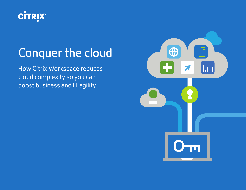

## **Conquer the cloud**

How Citrix Workspace reduces cloud complexity so you can boost business and IT agility

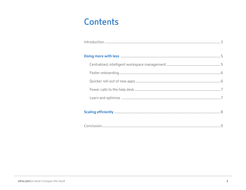## <span id="page-1-0"></span>Contents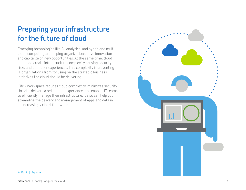## <span id="page-2-0"></span>**Preparing your infrastructure for the future of cloud**

Emerging technologies like AI, analytics, and hybrid and multicloud computing are helping organizations drive innovation and capitalize on new opportunities. At the same time, cloud solutions create infrastructure complexity causing security risks and poor user experiences. This complexity is preventing IT organizations from focusing on the strategic business initiatives the cloud should be delivering.

Citrix Workspace reduces cloud complexity, minimizes security threats, delivers a better user experience, and enables IT teams to efficiently manage their infrastructure. It also can help you streamline the delivery and management of apps and data in an increasingly cloud-first world.



#### **←** [Pg. 2](#page-1-0) [| Pg. 4](#page-3-0) **→**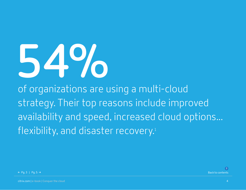# <span id="page-3-0"></span>**54%**

of organizations are using a multi-cloud strategy. Their top reasons include improved availability and speed, increased cloud options... flexibility, a[nd](https://www.citrix.com/it-security/resources/ponemon-security-study.html) disaster recovery.<sup>1</sup>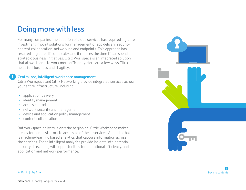### <span id="page-4-0"></span>**Doing more with less**

For many companies, the adoption of cloud services has required a greater investment in point solutions for management of app delivery, security, content collaboration, networking and endpoints. This approach has resulted in greater IT complexity, and it reduces the time IT can spend on strategic business initiatives. Citrix Workspace is an integrated solution that allows teams to work more efficiently. Here are a few ways Citrix helps fuel business and IT agility:

#### **Centralized, intelligent workspace management**

Citrix Workspace and Citrix Networking provide integrated services across your entire infrastructure, including:

- application delivery
- identity management
- access control

**1**

- network security and management
- device and application policy management
- content collaboration

But workspace delivery is only the beginning. Citrix Workspace makes it easy for administrators to access all of these services. Added to that is machine-learning based analytics that capture information across the services. These intelligent analytics provide insights into potential security risks, along with opportunities for operational efficiency, and application and network performance.

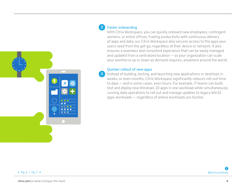<span id="page-5-0"></span>

#### **Faster onboarding 2**

With Citrix Workspace, you can quickly onboard new employees, contingent workers, or entire offices. Fueling productivity with continuous delivery of apps and data, our Citrix Workspace also secures access to the apps your users need from the get-go, regardless of their device or network. It also ensures a seamless and consistent experience that can be easily managed and updated from a centralized location — so your organization can scale your workforce up or down as demand requires, anywhere around the world.

#### **Quicker rollout of new apps**

**3**

Instead of building, testing, and launching new applications or desktops in weeks, or even months, Citrix Workspace significantly reduces roll-out time to days — and in some cases, even hours. For example, IT teams can build, test and deploy new Windows 10 apps in one workload while simultaneously running daily operations to roll out and manage updates to legacy Win32 apps workloads — regardless of where workloads are hosted.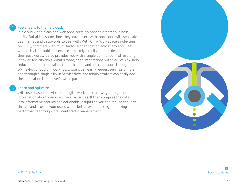<span id="page-6-0"></span>

#### **Fewer calls to the help desk**

In a cloud world, SaaS and web apps certainly provide greater business agility. But at the same time, they leave users with more apps with separate user names and passwords to deal with. With Citrix Workspace single-sign on (SSO), complete with multi-factor authentication across any app (SaaS, web, virtual, or mobile) users are less likely to call your help desk to reset their passwords. It also provides you with a single point of control resulting in fewer security risks. What's more, deep integrations with ServiceNow help reduce time and frustration for both users and administrators through outof-the-box or custom workflows. Users can easily request permission to an app through a single click in ServiceNow, and administrators can easily add the application to the user's workspace.

#### **Learn and optimize 5**

With user-based analytics, our digital workspace allows you to gather information about your users' work activities. It then compiles the data into informative profiles and actionable insights so you can reduce security threats and provide your users with a better experience by optimizing app performance through intelligent traffic management.

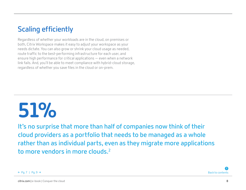## <span id="page-7-0"></span>**Scaling efficiently**

Regardless of whether your workloads are in the cloud, on premises or both, Citrix Workspace makes it easy to adjust your workspace as your needs dictate. You can also grow or shrink your cloud usage as needed, route traffic to the best-performing infrastructure for each user, and ensure high performance for critical applications — even when a network link fails. And, you'll be able to meet compliance with hybrid-cloud storage, regardless of whether you save files in the cloud or on-prem.

## **51%**

**It's no surprise that more than half of companies now think of their cloud providers as a portfolio that needs to be managed as a whole rather than as individual parts, even as they migrate more applications to more vendors in more clouds.2**